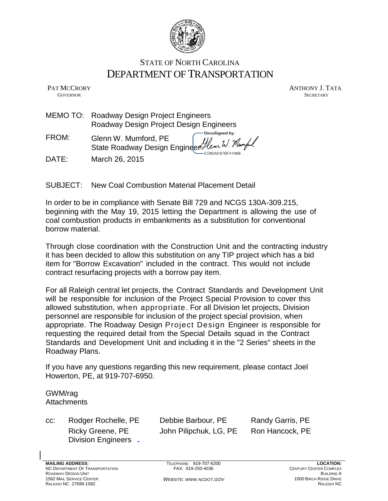

# STATE OF NORTH CAROLINA DEPARTMENT OF TRANSPORTATION

PAT MCCRORY ANTHONY J. TATA **GOVERNOR SECRETARY** SECRETARY

- MEMO TO: Roadway Design Project Engineers [Roadway Design Project Design Engineers](https://trust.docusign.com/) DocuSigned by:
- FROM: Glenn W. Mumford, PE llem W. Numpe State Roadway Design Engin[eer](https://trust.docusign.com)<sup>≮</sup> ED85AE67RE41489
- DATE: March 26, 2015

SUBJECT: New Coal Combustion Material Placement Detail

In order to be in compliance with Senate Bill 729 and NCGS 130A-309.215, beginning with the May 19, 2015 letting the Department is allowing the use of coal combustion products in embankments as a substitution for conventional borrow material.

Through close coordination with the Construction Unit and the contracting industry it has been decided to allow this substitution on any TIP project which has a bid item for "Borrow Excavation" included in the contract. This would not include contract resurfacing projects with a borrow pay item.

For all Raleigh central let projects, the Contract Standards and Development Unit will be responsible for inclusion of the Project Special Provision to cover this allowed substitution, when appropriate. For all Division let projects, Division personnel are responsible for inclusion of the project special provision, when appropriate. The Roadway Design Project Design Engineer is responsible for requesting the required detail from the Special Details squad in the Contract Standards and Development Unit and including it in the "2 Series" sheets in the Roadway Plans.

If you have any questions regarding this new requirement, please contact Joel Howerton, PE, at 919-707-6950.

# GWM/rag **Attachments**

cc: Rodger Rochelle, PE Debbie Barbour, PE Randy Garris, PE Division Engineers

Ricky Greene, PE John Pilipchuk, LG, PE Ron Hancock, PE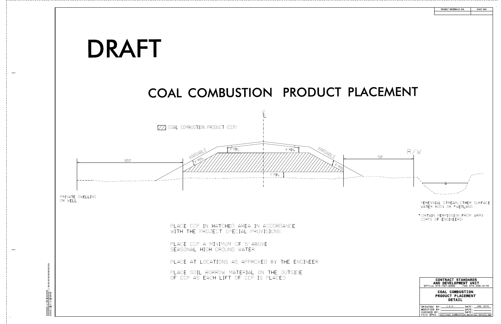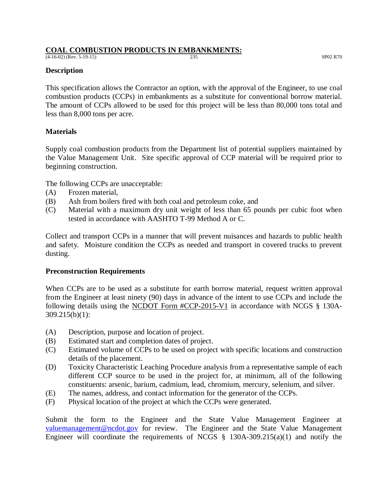# **COAL COMBUSTION PRODUCTS IN EMBANKMENTS:**

(4-16-02) (Rev. 5-19-15) 235 SP02 R70

### **Description**

This specification allows the Contractor an option, with the approval of the Engineer, to use coal combustion products (CCPs) in embankments as a substitute for conventional borrow material. The amount of CCPs allowed to be used for this project will be less than 80,000 tons total and less than 8,000 tons per acre.

# **Materials**

Supply coal combustion products from the Department list of potential suppliers maintained by the Value Management Unit. Site specific approval of CCP material will be required prior to beginning construction.

The following CCPs are unacceptable:

- (A) Frozen material,
- (B) Ash from boilers fired with both coal and petroleum coke, and
- (C) Material with a maximum dry unit weight of less than 65 pounds per cubic foot when tested in accordance with AASHTO T-99 Method A or C.

Collect and transport CCPs in a manner that will prevent nuisances and hazards to public health and safety. Moisture condition the CCPs as needed and transport in covered trucks to prevent dusting.

# **Preconstruction Requirements**

When CCPs are to be used as a substitute for earth borrow material, request written approval from the Engineer at least ninety (90) days in advance of the intent to use CCPs and include the following details using the NCDOT Form #CCP-2015-V1 in accordance with NCGS § 130A-309.215(b)(1):

- (A) Description, purpose and location of project.
- (B) Estimated start and completion dates of project.
- (C) Estimated volume of CCPs to be used on project with specific locations and construction details of the placement.
- (D) Toxicity Characteristic Leaching Procedure analysis from a representative sample of each different CCP source to be used in the project for, at minimum, all of the following constituents: arsenic, barium, cadmium, lead, chromium, mercury, selenium, and silver.
- (E) The names, address, and contact information for the generator of the CCPs.
- (F) Physical location of the project at which the CCPs were generated.

Submit the form to the Engineer and the State Value Management Engineer at [valuemanagement@ncdot.gov](mailto:valuemanagement@ncdot.gov) for review. The Engineer and the State Value Management Engineer will coordinate the requirements of NCGS  $\S$  130A-309.215(a)(1) and notify the